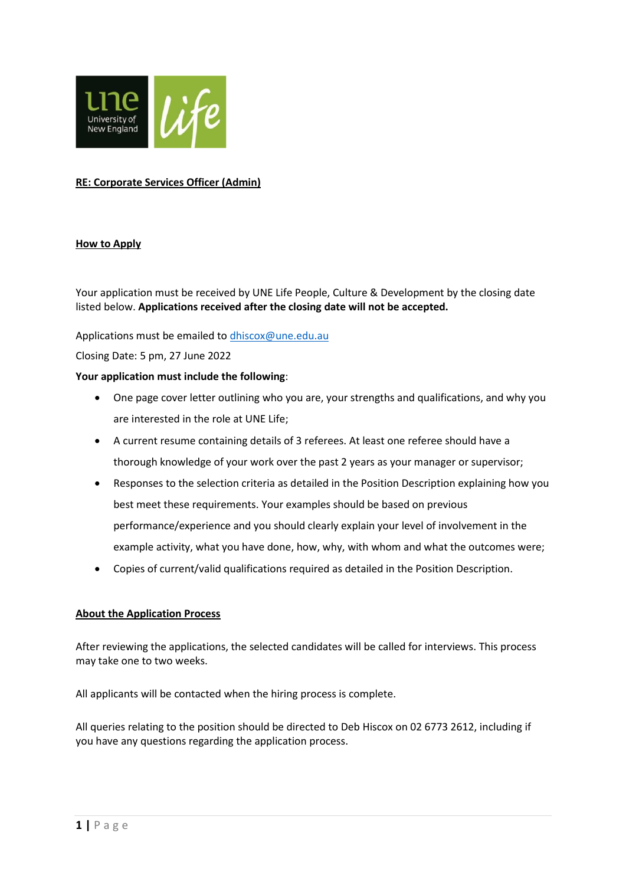

# **RE: Corporate Services Officer (Admin)**

## **How to Apply**

Your application must be received by UNE Life People, Culture & Development by the closing date listed below. **Applications received after the closing date will not be accepted.**

Applications must be emailed t[o dhiscox@une.edu.au](mailto:dhiscox@une.edu.au)

Closing Date: 5 pm, 27 June 2022

#### **Your application must include the following**:

- One page cover letter outlining who you are, your strengths and qualifications, and why you are interested in the role at UNE Life;
- A current resume containing details of 3 referees. At least one referee should have a thorough knowledge of your work over the past 2 years as your manager or supervisor;
- Responses to the selection criteria as detailed in the Position Description explaining how you best meet these requirements. Your examples should be based on previous performance/experience and you should clearly explain your level of involvement in the example activity, what you have done, how, why, with whom and what the outcomes were;
- Copies of current/valid qualifications required as detailed in the Position Description.

## **About the Application Process**

After reviewing the applications, the selected candidates will be called for interviews. This process may take one to two weeks.

All applicants will be contacted when the hiring process is complete.

All queries relating to the position should be directed to Deb Hiscox on 02 6773 2612, including if you have any questions regarding the application process.